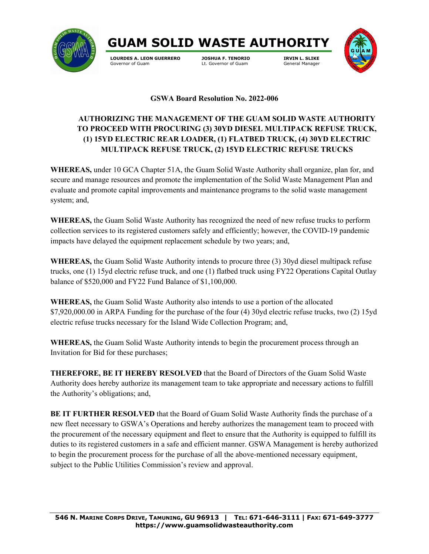



Lt. Governor of Guam



## **GSWA Board Resolution No. 2022-006**

## **AUTHORIZING THE MANAGEMENT OF THE GUAM SOLID WASTE AUTHORITY TO PROCEED WITH PROCURING (3) 30YD DIESEL MULTIPACK REFUSE TRUCK, (1) 15YD ELECTRIC REAR LOADER, (1) FLATBED TRUCK, (4) 30YD ELECTRIC MULTIPACK REFUSE TRUCK, (2) 15YD ELECTRIC REFUSE TRUCKS**

**WHEREAS,** under 10 GCA Chapter 51A, the Guam Solid Waste Authority shall organize, plan for, and secure and manage resources and promote the implementation of the Solid Waste Management Plan and evaluate and promote capital improvements and maintenance programs to the solid waste management system; and,

**WHEREAS,** the Guam Solid Waste Authority has recognized the need of new refuse trucks to perform collection services to its registered customers safely and efficiently; however, the COVID-19 pandemic impacts have delayed the equipment replacement schedule by two years; and,

**WHEREAS,** the Guam Solid Waste Authority intends to procure three (3) 30yd diesel multipack refuse trucks, one (1) 15yd electric refuse truck, and one (1) flatbed truck using FY22 Operations Capital Outlay balance of \$520,000 and FY22 Fund Balance of \$1,100,000.

**WHEREAS,** the Guam Solid Waste Authority also intends to use a portion of the allocated \$7,920,000.00 in ARPA Funding for the purchase of the four (4) 30yd electric refuse trucks, two (2) 15yd electric refuse trucks necessary for the Island Wide Collection Program; and,

**WHEREAS,** the Guam Solid Waste Authority intends to begin the procurement process through an Invitation for Bid for these purchases;

**THEREFORE, BE IT HEREBY RESOLVED** that the Board of Directors of the Guam Solid Waste Authority does hereby authorize its management team to take appropriate and necessary actions to fulfill the Authority's obligations; and,

**BE IT FURTHER RESOLVED** that the Board of Guam Solid Waste Authority finds the purchase of a new fleet necessary to GSWA's Operations and hereby authorizes the management team to proceed with the procurement of the necessary equipment and fleet to ensure that the Authority is equipped to fulfill its duties to its registered customers in a safe and efficient manner. GSWA Management is hereby authorized to begin the procurement process for the purchase of all the above-mentioned necessary equipment, subject to the Public Utilities Commission's review and approval.